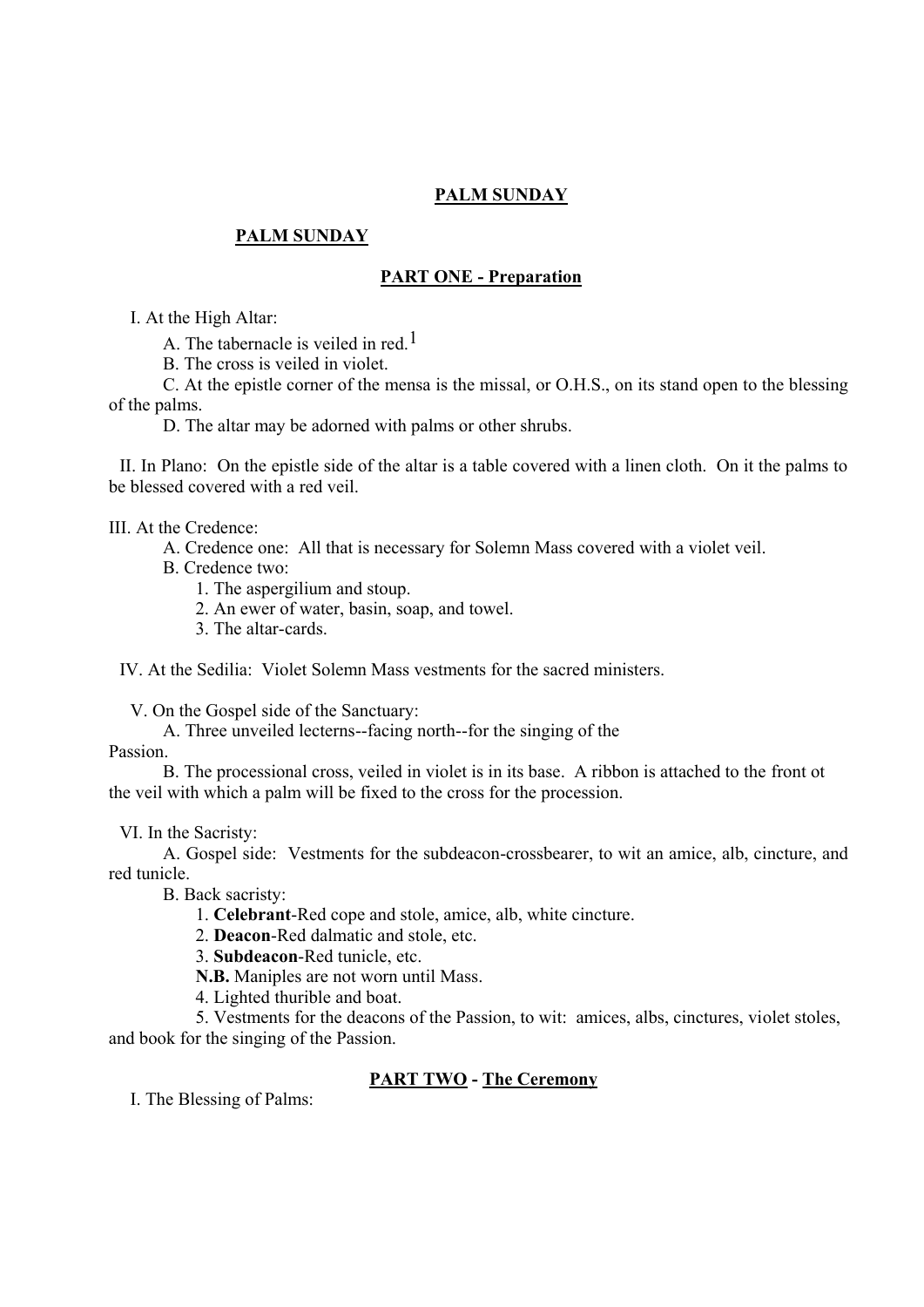## **PALM SUNDAY**

## **PALM SUNDAY**

### **PART ONE - Preparation**

I. At the High Altar:

A. The tabernacle is veiled in red.<sup>1</sup>

B. The cross is veiled in violet.

C. At the epistle corner of the mensa is the missal, or O.H.S., on its stand open to the blessing of the palms.

D. The altar may be adorned with palms or other shrubs.

II. In Plano: On the epistle side of the altar is a table covered with a linen cloth. On it the palms to be blessed covered with a red veil.

#### III. At the Credence:

A. Credence one: All that is necessary for Solemn Mass covered with a violet veil.

B. Credence two:

- 1. The aspergilium and stoup.
- 2. An ewer of water, basin, soap, and towel.
- 3. The altar-cards.

IV. At the Sedilia: Violet Solemn Mass vestments for the sacred ministers.

V. On the Gospel side of the Sanctuary:

A. Three unveiled lecterns--facing north--for the singing of the

Passion.

B. The processional cross, veiled in violet is in its base. A ribbon is attached to the front ot the veil with which a palm will be fixed to the cross for the procession.

#### VI. In the Sacristy:

A. Gospel side: Vestments for the subdeacon-crossbearer, to wit an amice, alb, cincture, and red tunicle.

B. Back sacristy:

1. **Celebrant**-Red cope and stole, amice, alb, white cincture.

2. **Deacon**-Red dalmatic and stole, etc.

3. **Subdeacon**-Red tunicle, etc.

**N.B.** Maniples are not worn until Mass.

4. Lighted thurible and boat.

5. Vestments for the deacons of the Passion, to wit: amices, albs, cinctures, violet stoles, and book for the singing of the Passion.

### **PART TWO - The Ceremony**

I. The Blessing of Palms: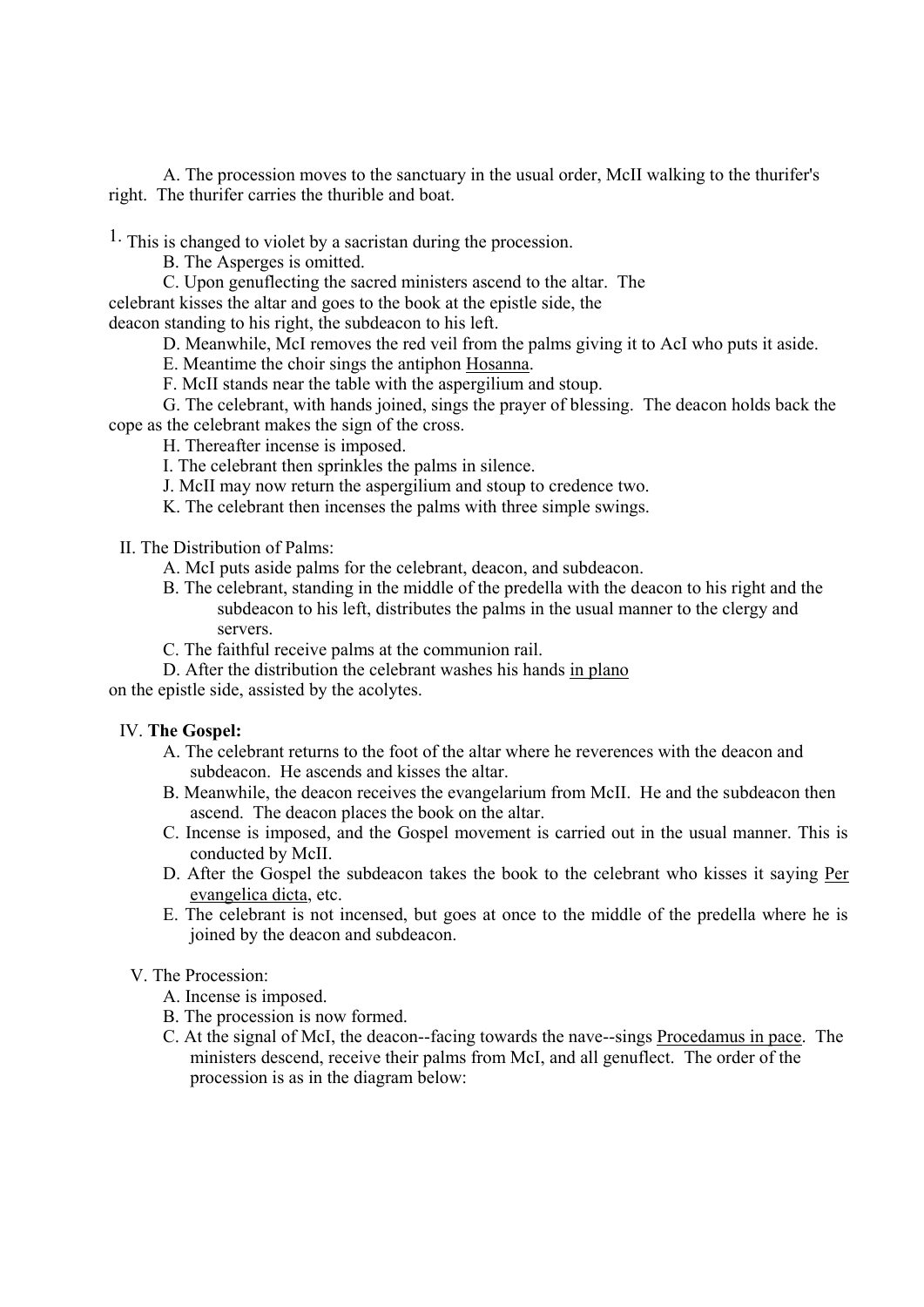A. The procession moves to the sanctuary in the usual order, McII walking to the thurifer's right. The thurifer carries the thurible and boat.

 $<sup>1</sup>$ . This is changed to violet by a sacristan during the procession.</sup>

B. The Asperges is omitted.

C. Upon genuflecting the sacred ministers ascend to the altar. The celebrant kisses the altar and goes to the book at the epistle side, the deacon standing to his right, the subdeacon to his left.

D. Meanwhile, McI removes the red veil from the palms giving it to AcI who puts it aside.

- E. Meantime the choir sings the antiphon Hosanna.
- F. McII stands near the table with the aspergilium and stoup.
- G. The celebrant, with hands joined, sings the prayer of blessing. The deacon holds back the cope as the celebrant makes the sign of the cross.

H. Thereafter incense is imposed.

- I. The celebrant then sprinkles the palms in silence.
- J. McII may now return the aspergilium and stoup to credence two.
- K. The celebrant then incenses the palms with three simple swings.

II. The Distribution of Palms:

- A. McI puts aside palms for the celebrant, deacon, and subdeacon.
- B. The celebrant, standing in the middle of the predella with the deacon to his right and the subdeacon to his left, distributes the palms in the usual manner to the clergy and servers.
- C. The faithful receive palms at the communion rail.
- D. After the distribution the celebrant washes his hands in plano

on the epistle side, assisted by the acolytes.

#### IV. **The Gospel:**

- A. The celebrant returns to the foot of the altar where he reverences with the deacon and subdeacon. He ascends and kisses the altar.
- B. Meanwhile, the deacon receives the evangelarium from McII. He and the subdeacon then ascend. The deacon places the book on the altar.
- C. Incense is imposed, and the Gospel movement is carried out in the usual manner. This is conducted by McII.
- D. After the Gospel the subdeacon takes the book to the celebrant who kisses it saying Per evangelica dicta, etc.
- E. The celebrant is not incensed, but goes at once to the middle of the predella where he is joined by the deacon and subdeacon.

### V. The Procession:

- A. Incense is imposed.
- B. The procession is now formed.
- C. At the signal of McI, the deacon--facing towards the nave--sings Procedamus in pace. The ministers descend, receive their palms from McI, and all genuflect. The order of the procession is as in the diagram below: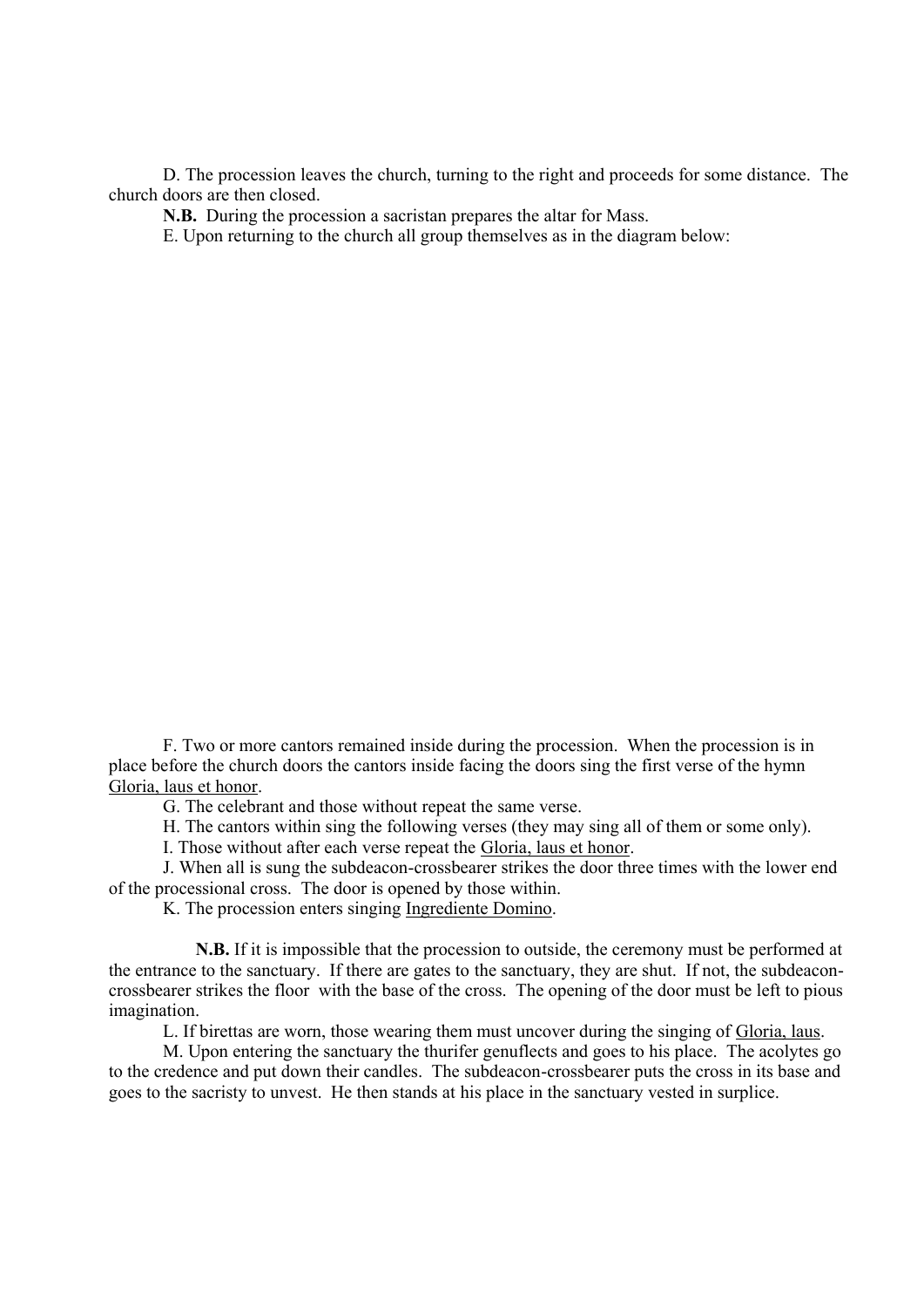D. The procession leaves the church, turning to the right and proceeds for some distance. The church doors are then closed.

**N.B.** During the procession a sacristan prepares the altar for Mass.

E. Upon returning to the church all group themselves as in the diagram below:

F. Two or more cantors remained inside during the procession. When the procession is in place before the church doors the cantors inside facing the doors sing the first verse of the hymn Gloria, laus et honor.

G. The celebrant and those without repeat the same verse.

H. The cantors within sing the following verses (they may sing all of them or some only).

I. Those without after each verse repeat the Gloria, laus et honor.

J. When all is sung the subdeacon-crossbearer strikes the door three times with the lower end of the processional cross. The door is opened by those within.

K. The procession enters singing Ingrediente Domino.

**N.B.** If it is impossible that the procession to outside, the ceremony must be performed at the entrance to the sanctuary. If there are gates to the sanctuary, they are shut. If not, the subdeaconcrossbearer strikes the floor with the base of the cross. The opening of the door must be left to pious imagination.

L. If birettas are worn, those wearing them must uncover during the singing of Gloria, laus.

M. Upon entering the sanctuary the thurifer genuflects and goes to his place. The acolytes go to the credence and put down their candles. The subdeacon-crossbearer puts the cross in its base and goes to the sacristy to unvest. He then stands at his place in the sanctuary vested in surplice.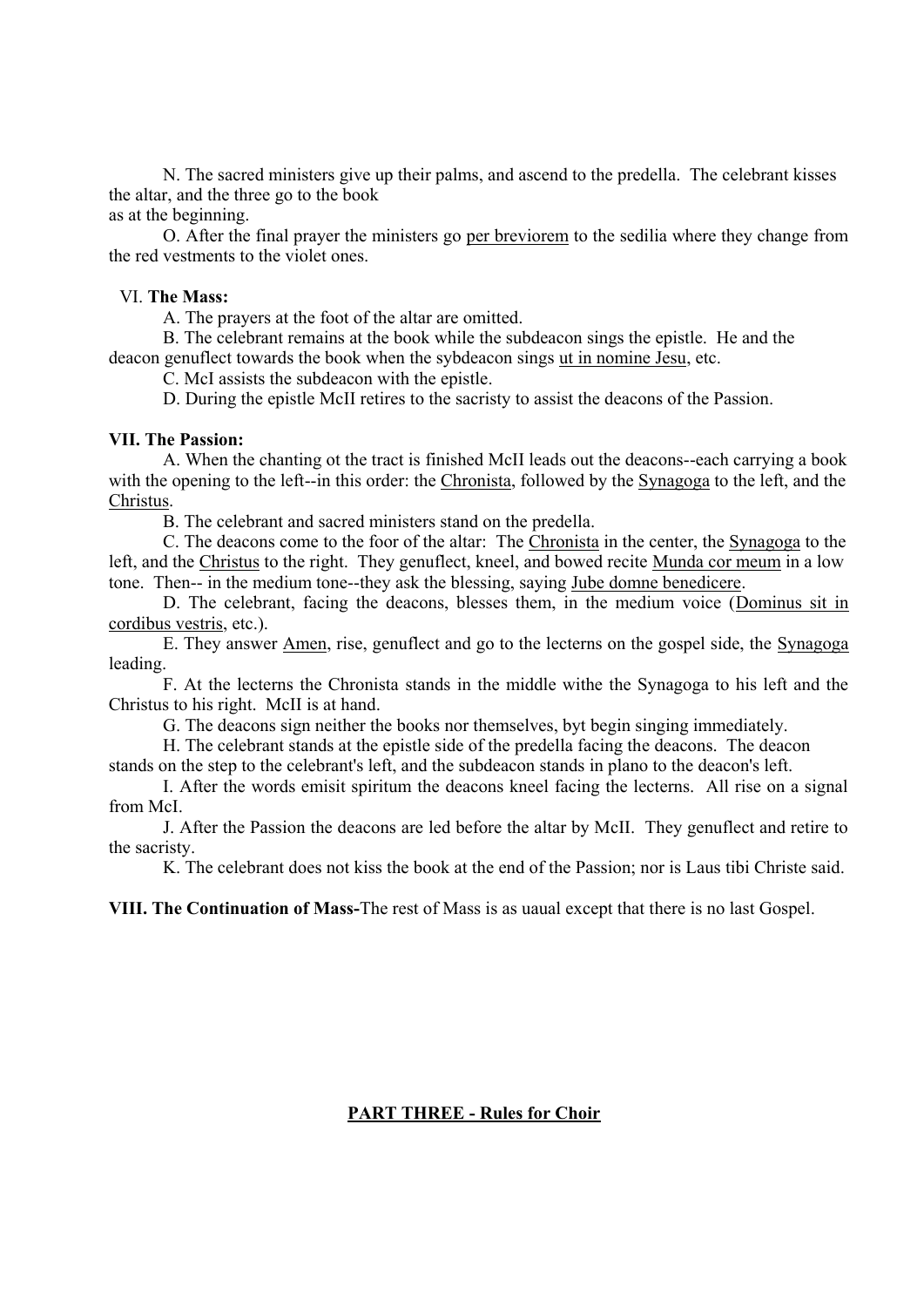N. The sacred ministers give up their palms, and ascend to the predella. The celebrant kisses the altar, and the three go to the book as at the beginning.

O. After the final prayer the ministers go per breviorem to the sedilia where they change from the red vestments to the violet ones.

#### VI. **The Mass:**

A. The prayers at the foot of the altar are omitted.

B. The celebrant remains at the book while the subdeacon sings the epistle. He and the deacon genuflect towards the book when the sybdeacon sings ut in nomine Jesu, etc.

C. McI assists the subdeacon with the epistle.

D. During the epistle McII retires to the sacristy to assist the deacons of the Passion.

### **VII. The Passion:**

A. When the chanting ot the tract is finished McII leads out the deacons--each carrying a book with the opening to the left--in this order: the Chronista, followed by the Synagoga to the left, and the Christus.

B. The celebrant and sacred ministers stand on the predella.

C. The deacons come to the foor of the altar: The Chronista in the center, the Synagoga to the left, and the Christus to the right. They genuflect, kneel, and bowed recite Munda cor meum in a low tone. Then-- in the medium tone--they ask the blessing, saying Jube domne benedicere.

D. The celebrant, facing the deacons, blesses them, in the medium voice (Dominus sit in cordibus vestris, etc.).

E. They answer Amen, rise, genuflect and go to the lecterns on the gospel side, the Synagoga leading.

F. At the lecterns the Chronista stands in the middle withe the Synagoga to his left and the Christus to his right. McII is at hand.

G. The deacons sign neither the books nor themselves, byt begin singing immediately.

H. The celebrant stands at the epistle side of the predella facing the deacons. The deacon

stands on the step to the celebrant's left, and the subdeacon stands in plano to the deacon's left.

I. After the words emisit spiritum the deacons kneel facing the lecterns. All rise on a signal from McI.

J. After the Passion the deacons are led before the altar by McII. They genuflect and retire to the sacristy.

K. The celebrant does not kiss the book at the end of the Passion; nor is Laus tibi Christe said.

**VIII. The Continuation of Mass-**The rest of Mass is as uaual except that there is no last Gospel.

# **PART THREE - Rules for Choir**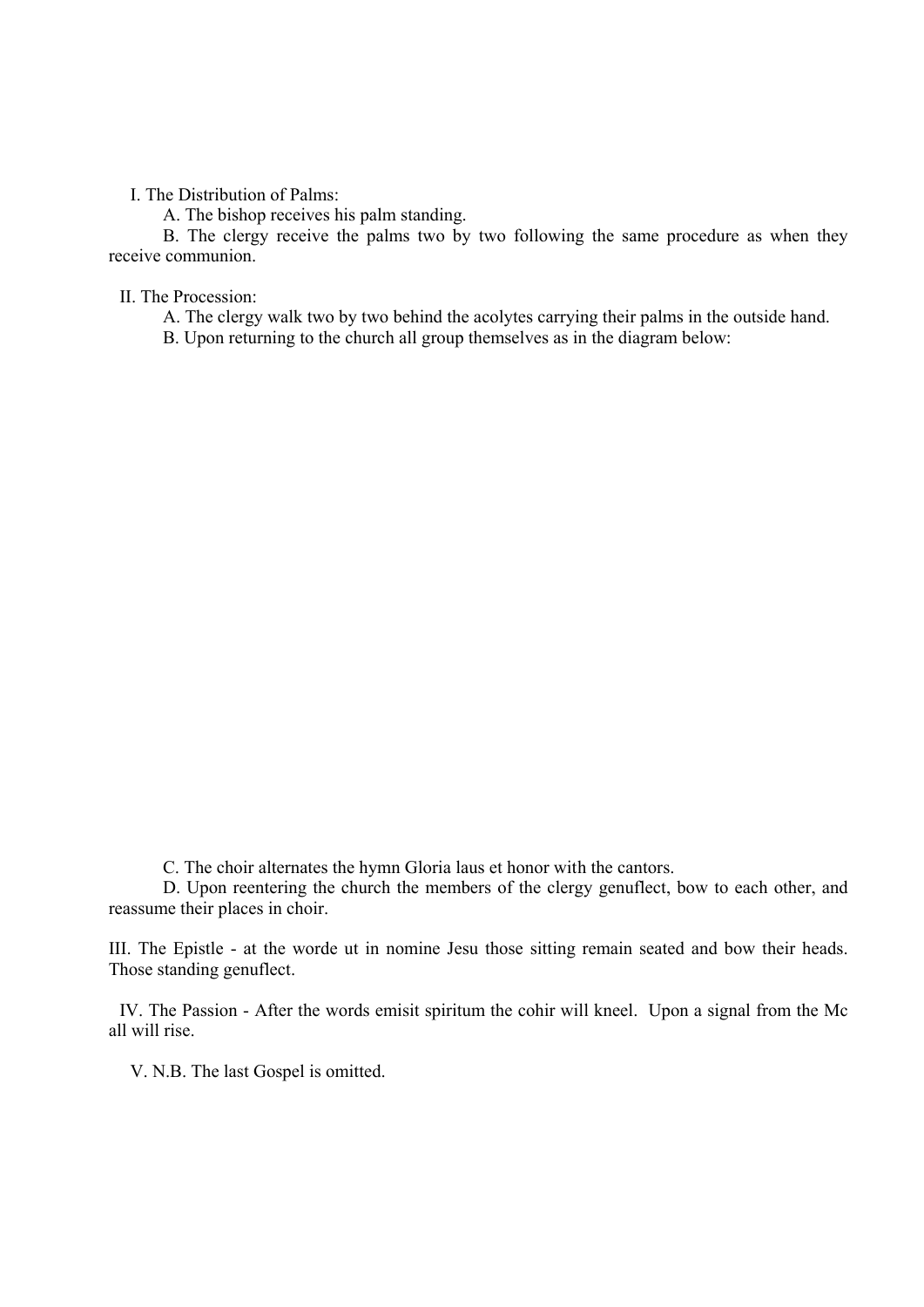I. The Distribution of Palms:

A. The bishop receives his palm standing.

B. The clergy receive the palms two by two following the same procedure as when they receive communion.

II. The Procession:

A. The clergy walk two by two behind the acolytes carrying their palms in the outside hand.

B. Upon returning to the church all group themselves as in the diagram below:

C. The choir alternates the hymn Gloria laus et honor with the cantors.

D. Upon reentering the church the members of the clergy genuflect, bow to each other, and reassume their places in choir.

III. The Epistle - at the worde ut in nomine Jesu those sitting remain seated and bow their heads. Those standing genuflect.

IV. The Passion - After the words emisit spiritum the cohir will kneel. Upon a signal from the Mc all will rise.

V. N.B. The last Gospel is omitted.